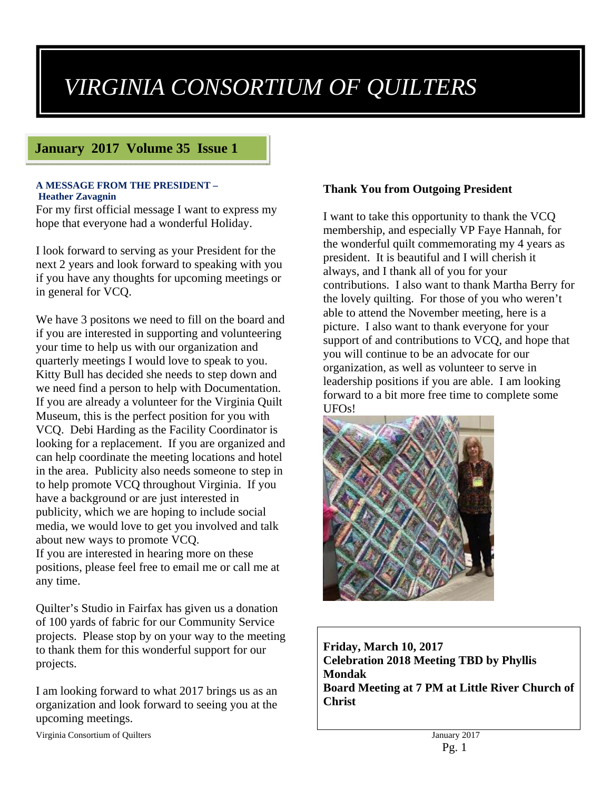# *VIRGINIA CONSORTIUM OF QUILTERS*

## **January 2017 Volume 35 Issue 1**

#### **A MESSAGE FROM THE PRESIDENT – Heather Zavagnin**

For my first official message I want to express my hope that everyone had a wonderful Holiday.

I look forward to serving as your President for the next 2 years and look forward to speaking with you if you have any thoughts for upcoming meetings or in general for VCQ.

We have 3 positons we need to fill on the board and if you are interested in supporting and volunteering your time to help us with our organization and quarterly meetings I would love to speak to you. Kitty Bull has decided she needs to step down and we need find a person to help with Documentation. If you are already a volunteer for the Virginia Quilt Museum, this is the perfect position for you with VCQ. Debi Harding as the Facility Coordinator is looking for a replacement. If you are organized and can help coordinate the meeting locations and hotel in the area. Publicity also needs someone to step in to help promote VCQ throughout Virginia. If you have a background or are just interested in publicity, which we are hoping to include social media, we would love to get you involved and talk about new ways to promote VCQ. If you are interested in hearing more on these positions, please feel free to email me or call me at any time.

Quilter's Studio in Fairfax has given us a donation of 100 yards of fabric for our Community Service projects. Please stop by on your way to the meeting to thank them for this wonderful support for our projects.

I am looking forward to what 2017 brings us as an organization and look forward to seeing you at the upcoming meetings.

Virginia Consortium of Quilters January 2017

## **Thank You from Outgoing President**

I want to take this opportunity to thank the VCQ membership, and especially VP Faye Hannah, for the wonderful quilt commemorating my 4 years as president. It is beautiful and I will cherish it always, and I thank all of you for your contributions. I also want to thank Martha Berry for the lovely quilting. For those of you who weren't able to attend the November meeting, here is a picture. I also want to thank everyone for your support of and contributions to VCQ, and hope that you will continue to be an advocate for our organization, as well as volunteer to serve in leadership positions if you are able. I am looking forward to a bit more free time to complete some UFOs!



**Friday, March 10, 2017 Celebration 2018 Meeting TBD by Phyllis Mondak Board Meeting at 7 PM at Little River Church of Christ**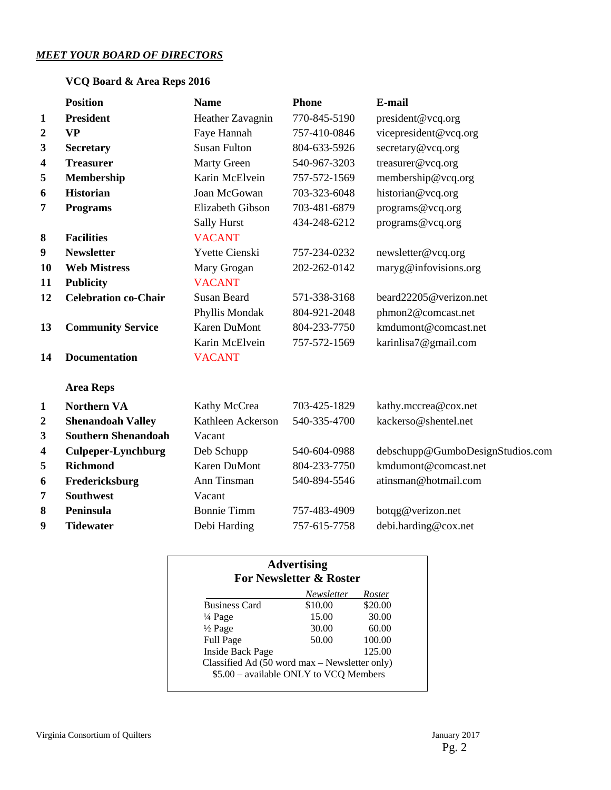### *MEET YOUR BOARD OF DIRECTORS*

## **VCQ Board & Area Reps 2016**

|                  | <b>Position</b>             | <b>Name</b>           | <b>Phone</b> | E-mail                           |
|------------------|-----------------------------|-----------------------|--------------|----------------------------------|
| $\mathbf{1}$     | <b>President</b>            | Heather Zavagnin      | 770-845-5190 | president@vcq.org                |
| $\boldsymbol{2}$ | <b>VP</b>                   | Faye Hannah           | 757-410-0846 | vicepresident@vcq.org            |
| 3                | <b>Secretary</b>            | <b>Susan Fulton</b>   | 804-633-5926 | secretary@vcq.org                |
| 4                | <b>Treasurer</b>            | <b>Marty Green</b>    | 540-967-3203 | treasurer@vcq.org                |
| 5                | Membership                  | Karin McElvein        | 757-572-1569 | membership@vcq.org               |
| 6                | <b>Historian</b>            | Joan McGowan          | 703-323-6048 | historian@vcq.org                |
| 7                | <b>Programs</b>             | Elizabeth Gibson      | 703-481-6879 | programs@vcq.org                 |
|                  |                             | Sally Hurst           | 434-248-6212 | programs@vcq.org                 |
| $\boldsymbol{8}$ | <b>Facilities</b>           | <b>VACANT</b>         |              |                                  |
| 9                | <b>Newsletter</b>           | <b>Yvette Cienski</b> | 757-234-0232 | newsletter@vcq.org               |
| 10               | <b>Web Mistress</b>         | Mary Grogan           | 202-262-0142 | maryg@infovisions.org            |
| 11               | <b>Publicity</b>            | <b>VACANT</b>         |              |                                  |
| 12               | <b>Celebration co-Chair</b> | <b>Susan Beard</b>    | 571-338-3168 | beard22205@verizon.net           |
|                  |                             | Phyllis Mondak        | 804-921-2048 | phmon2@comcast.net               |
| 13               | <b>Community Service</b>    | Karen DuMont          | 804-233-7750 | kmdumont@comcast.net             |
|                  |                             | Karin McElvein        | 757-572-1569 | karinlisa7@gmail.com             |
| 14               | <b>Documentation</b>        | <b>VACANT</b>         |              |                                  |
|                  | <b>Area Reps</b>            |                       |              |                                  |
| $\mathbf{1}$     | <b>Northern VA</b>          | Kathy McCrea          | 703-425-1829 | kathy.mccrea@cox.net             |
| $\boldsymbol{2}$ | <b>Shenandoah Valley</b>    | Kathleen Ackerson     | 540-335-4700 | kackerso@shentel.net             |
| 3                | <b>Southern Shenandoah</b>  | Vacant                |              |                                  |
| 4                | <b>Culpeper-Lynchburg</b>   | Deb Schupp            | 540-604-0988 | debschupp@GumboDesignStudios.com |
| 5                | <b>Richmond</b>             | <b>Karen DuMont</b>   | 804-233-7750 | kmdumont@comcast.net             |
| 6                | Fredericksburg              | Ann Tinsman           | 540-894-5546 | atinsman@hotmail.com             |
| 7                | <b>Southwest</b>            | Vacant                |              |                                  |
| 8                | Peninsula                   | <b>Bonnie Timm</b>    | 757-483-4909 | botqg@verizon.net                |
| 9                | <b>Tidewater</b>            | Debi Harding          | 757-615-7758 | debi.harding@cox.net             |

|                         | Newsletter | Roster  |
|-------------------------|------------|---------|
| <b>Business Card</b>    | \$10.00    | \$20.00 |
| $\frac{1}{4}$ Page      | 15.00      | 30.00   |
| $\frac{1}{2}$ Page      | 30.00      | 60.00   |
| <b>Full Page</b>        | 50.00      | 100.00  |
| <b>Inside Back Page</b> |            | 125.00  |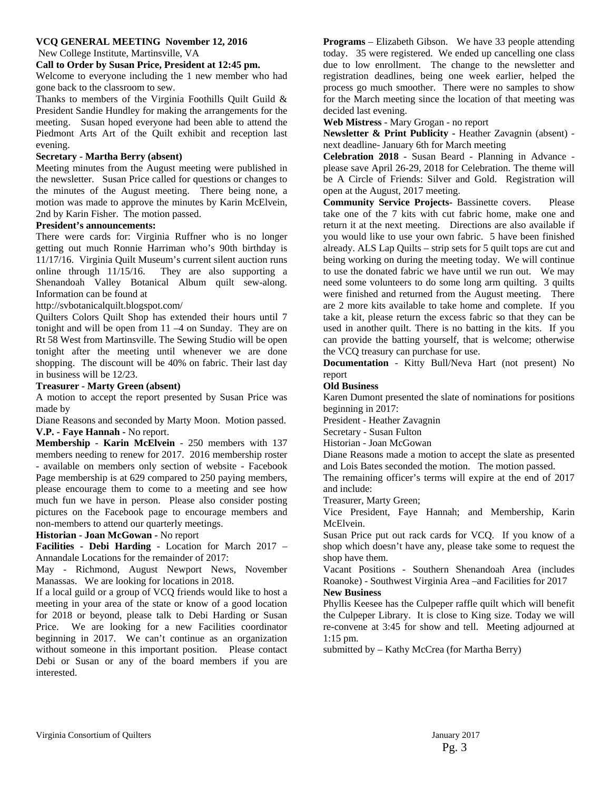#### **VCQ GENERAL MEETING November 12, 2016**

New College Institute, Martinsville, VA

#### **Call to Order by Susan Price, President at 12:45 pm.**

Welcome to everyone including the 1 new member who had gone back to the classroom to sew.

Thanks to members of the Virginia Foothills Quilt Guild & President Sandie Hundley for making the arrangements for the meeting. Susan hoped everyone had been able to attend the Piedmont Arts Art of the Quilt exhibit and reception last evening.

#### **Secretary - Martha Berry (absent)**

Meeting minutes from the August meeting were published in the newsletter. Susan Price called for questions or changes to the minutes of the August meeting. There being none, a motion was made to approve the minutes by Karin McElvein, 2nd by Karin Fisher. The motion passed.

#### **President's announcements:**

There were cards for: Virginia Ruffner who is no longer getting out much Ronnie Harriman who's 90th birthday is 11/17/16. Virginia Quilt Museum's current silent auction runs online through 11/15/16. They are also supporting a Shenandoah Valley Botanical Album quilt sew-along. Information can be found at

http://svbotanicalquilt.blogspot.com/

Quilters Colors Quilt Shop has extended their hours until 7 tonight and will be open from 11 –4 on Sunday. They are on Rt 58 West from Martinsville. The Sewing Studio will be open tonight after the meeting until whenever we are done shopping. The discount will be 40% on fabric. Their last day in business will be 12/23.

#### **Treasurer - Marty Green (absent)**

A motion to accept the report presented by Susan Price was made by

Diane Reasons and seconded by Marty Moon. Motion passed. **V.P. - Faye Hannah -** No report.

**Membership - Karin McElvein** - 250 members with 137 members needing to renew for 2017. 2016 membership roster - available on members only section of website - Facebook Page membership is at 629 compared to 250 paying members, please encourage them to come to a meeting and see how much fun we have in person. Please also consider posting pictures on the Facebook page to encourage members and non-members to attend our quarterly meetings.

**Historian - Joan McGowan -** No report

**Facilities - Debi Harding** - Location for March 2017 – Annandale Locations for the remainder of 2017:

May - Richmond, August Newport News, November Manassas. We are looking for locations in 2018.

If a local guild or a group of VCQ friends would like to host a meeting in your area of the state or know of a good location for 2018 or beyond, please talk to Debi Harding or Susan Price. We are looking for a new Facilities coordinator beginning in 2017. We can't continue as an organization without someone in this important position. Please contact Debi or Susan or any of the board members if you are interested.

**Programs** – Elizabeth Gibson. We have 33 people attending today. 35 were registered. We ended up cancelling one class due to low enrollment. The change to the newsletter and registration deadlines, being one week earlier, helped the process go much smoother. There were no samples to show for the March meeting since the location of that meeting was decided last evening.

**Web Mistress** - Mary Grogan - no report

**Newsletter & Print Publicity -** Heather Zavagnin (absent) next deadline- January 6th for March meeting

**Celebration 2018** - Susan Beard - Planning in Advance please save April 26-29, 2018 for Celebration. The theme will be A Circle of Friends: Silver and Gold. Registration will open at the August, 2017 meeting.

**Community Service Projects-** Bassinette covers. Please take one of the 7 kits with cut fabric home, make one and return it at the next meeting. Directions are also available if you would like to use your own fabric. 5 have been finished already. ALS Lap Quilts – strip sets for 5 quilt tops are cut and being working on during the meeting today. We will continue to use the donated fabric we have until we run out. We may need some volunteers to do some long arm quilting. 3 quilts were finished and returned from the August meeting. There are 2 more kits available to take home and complete. If you take a kit, please return the excess fabric so that they can be used in another quilt. There is no batting in the kits. If you can provide the batting yourself, that is welcome; otherwise the VCQ treasury can purchase for use.

**Documentation** - Kitty Bull/Neva Hart (not present) No report

#### **Old Business**

Karen Dumont presented the slate of nominations for positions beginning in 2017:

President - Heather Zavagnin

Secretary - Susan Fulton

Historian - Joan McGowan

Diane Reasons made a motion to accept the slate as presented and Lois Bates seconded the motion. The motion passed.

The remaining officer's terms will expire at the end of 2017 and include:

Treasurer, Marty Green;

Vice President, Faye Hannah; and Membership, Karin McElvein.

Susan Price put out rack cards for VCQ. If you know of a shop which doesn't have any, please take some to request the shop have them.

Vacant Positions - Southern Shenandoah Area (includes Roanoke) - Southwest Virginia Area –and Facilities for 2017

#### **New Business**

Phyllis Keesee has the Culpeper raffle quilt which will benefit the Culpeper Library. It is close to King size. Today we will re-convene at 3:45 for show and tell. Meeting adjourned at 1:15 pm.

submitted by – Kathy McCrea (for Martha Berry)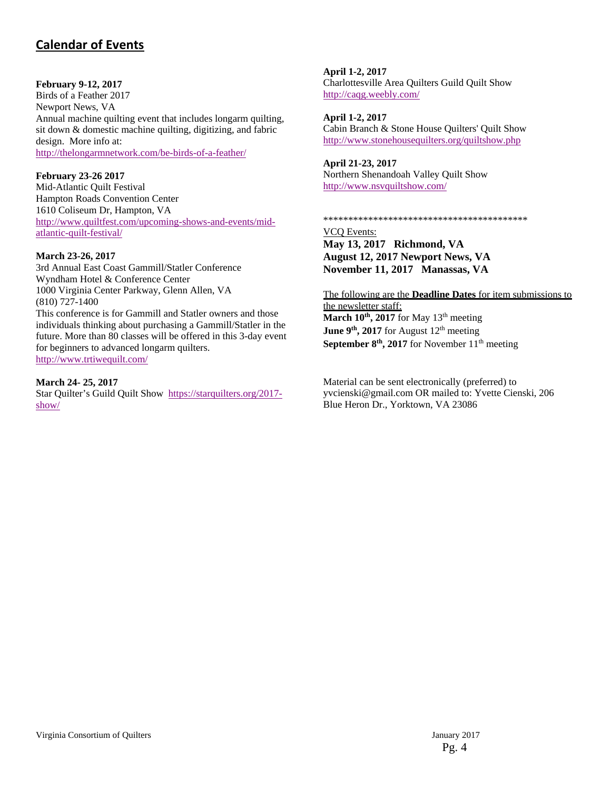# **Calendar of Events**

#### **February 9-12, 2017**

Birds of a Feather 2017 Newport News, VA Annual machine quilting event that includes longarm quilting, sit down & domestic machine quilting, digitizing, and fabric design. More info at: <http://thelongarmnetwork.com/be-birds-of-a-feather/>

#### **February 23-26 2017**

Mid-Atlantic Quilt Festival Hampton Roads Convention Center 1610 Coliseum Dr, Hampton, VA [http://www.quiltfest.com/upcoming-shows-and-events/mid](http://www.quiltfest.com/upcoming-shows-and-events/mid-atlantic-quilt-festival/)atlantic-quilt-festival/

#### **March 23-26, 2017**

3rd Annual East Coast Gammill/Statler Conference Wyndham Hotel & Conference Center 1000 Virginia Center Parkway, Glenn Allen, VA (810) 727-1400 This conference is for Gammill and Statler owners and those individuals thinking about purchasing a Gammill/Statler in the future. More than 80 classes will be offered in this 3-day event for beginners to advanced longarm quilters. <http://www.trtiwequilt.com/>

**March 24- 25, 2017**

[Star Quilter's Guild Quilt Show https://starquilters.org/2017](https://starquilters.org/2017-show/) show/

**April 1-2, 2017** Charlottesville Area Quilters Guild Quilt Show <http://caqg.weebly.com/>

**April 1-2, 2017**  Cabin Branch & Stone House Quilters' Quilt Show <http://www.stonehousequilters.org/quiltshow.php>

**April 21-23, 2017** Northern Shenandoah Valley Quilt Show <http://www.nsvquiltshow.com/>

\*\*\*\*\*\*\*\*\*\*\*\*\*\*\*\*\*\*\*\*\*\*\*\*\*\*\*\*\*\*\*\*\*\*\*\*\*\*\*\*\*

VCQ Events: **May 13, 2017 Richmond, VA August 12, 2017 Newport News, VA November 11, 2017 Manassas, VA** 

The following are the **Deadline Dates** for item submissions to the newsletter staff: March 10<sup>th</sup>, 2017 for May 13<sup>th</sup> meeting **June 9<sup>th</sup>, 2017** for August  $12<sup>th</sup>$  meeting **September 8<sup>th</sup>, 2017** for November 11<sup>th</sup> meeting

Material can be sent electronically (preferred) to yvcienski@gmail.com OR mailed to: Yvette Cienski, 206 Blue Heron Dr., Yorktown, VA 23086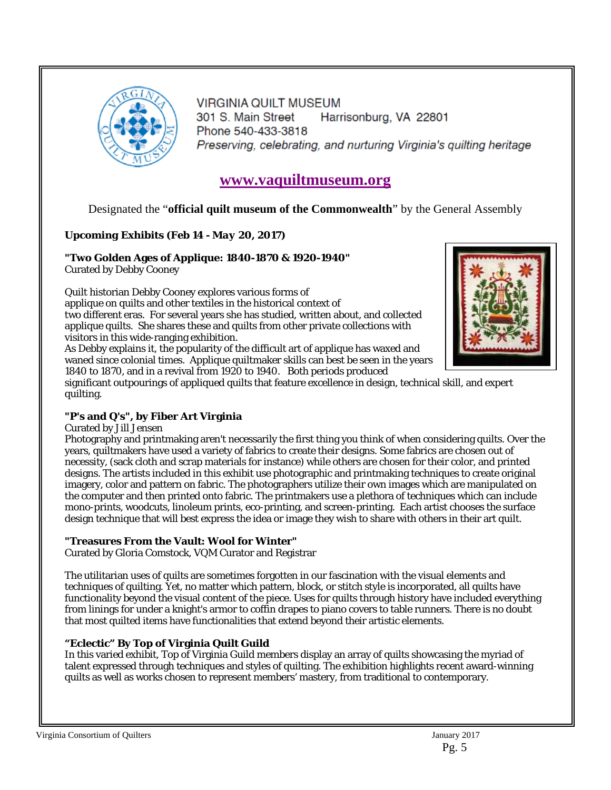

**VIRGINIA QUILT MUSEUM** 301 S. Main Street Harrisonburg, VA 22801 Phone 540-433-3818 Preserving, celebrating, and nurturing Virginia's quilting heritage

# **<www.vaquiltmuseum.org>**

Designated the "**official quilt museum of the Commonwealth**" by the General Assembly

## *Upcoming Exhibits (Feb 14 - May 20, 2017)*

## **"Two Golden Ages of Applique: 1840-1870 & 1920-1940"**

Curated by Debby Cooney

Quilt historian Debby Cooney explores various forms of applique on quilts and other textiles in the historical context of two different eras. For several years she has studied, written about, and collected applique quilts. She shares these and quilts from other private collections with visitors in this wide-ranging exhibition.

As Debby explains it, the popularity of the difficult art of applique has waxed and waned since colonial times. Applique quiltmaker skills can best be seen in the years 1840 to 1870, and in a revival from 1920 to 1940. Both periods produced



significant outpourings of appliqued quilts that feature excellence in design, technical skill, and expert quilting.

## **"P's and Q's", by Fiber Art Virginia**

Curated by Jill Jensen

Photography and printmaking aren't necessarily the first thing you think of when considering quilts. Over the years, quiltmakers have used a variety of fabrics to create their designs. Some fabrics are chosen out of necessity, (sack cloth and scrap materials for instance) while others are chosen for their color, and printed designs. The artists included in this exhibit use photographic and printmaking techniques to create original imagery, color and pattern on fabric. The photographers utilize their own images which are manipulated on the computer and then printed onto fabric. The printmakers use a plethora of techniques which can include mono-prints, woodcuts, linoleum prints, eco-printing, and screen-printing. Each artist chooses the surface design technique that will best express the idea or image they wish to share with others in their art quilt.

## **"Treasures From the Vault: Wool for Winter"**

Curated by Gloria Comstock, VQM Curator and Registrar

The utilitarian uses of quilts are sometimes forgotten in our fascination with the visual elements and techniques of quilting. Yet, no matter which pattern, block, or stitch style is incorporated, all quilts have functionality beyond the visual content of the piece. Uses for quilts through history have included everything from linings for under a knight's armor to coffin drapes to piano covers to table runners. There is no doubt that most quilted items have functionalities that extend beyond their artistic elements.

## **"Eclectic" By Top of Virginia Quilt Guild**

In this varied exhibit, Top of Virginia Guild members display an array of quilts showcasing the myriad of talent expressed through techniques and styles of quilting. The exhibition highlights recent award-winning quilts as well as works chosen to represent members' mastery, from traditional to contemporary.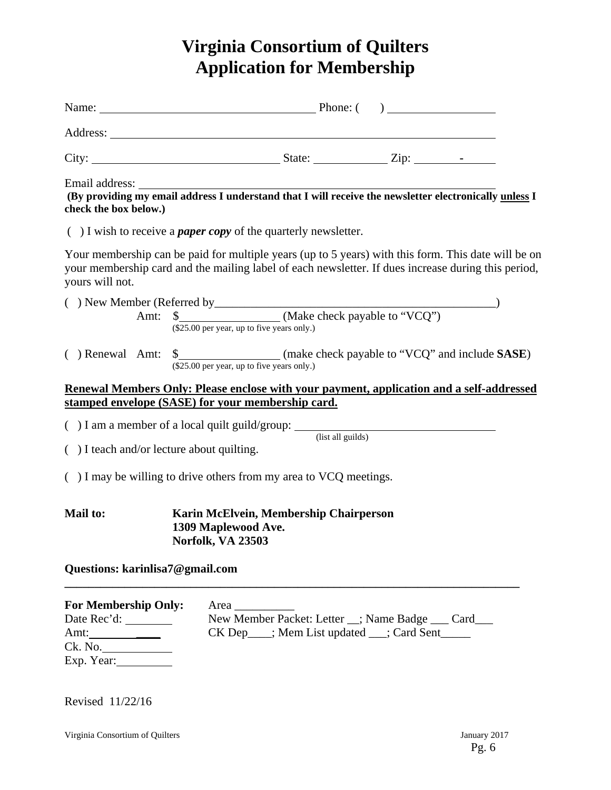# **Virginia Consortium of Quilters Application for Membership**

| Email address:<br>check the box below.)                                                                                                                   |  | (By providing my email address I understand that I will receive the newsletter electronically unless I                                                                                                     |  |  |  |  |
|-----------------------------------------------------------------------------------------------------------------------------------------------------------|--|------------------------------------------------------------------------------------------------------------------------------------------------------------------------------------------------------------|--|--|--|--|
|                                                                                                                                                           |  | $( )$ I wish to receive a <i>paper copy</i> of the quarterly newsletter.                                                                                                                                   |  |  |  |  |
| yours will not.                                                                                                                                           |  | Your membership can be paid for multiple years (up to 5 years) with this form. This date will be on<br>your membership card and the mailing label of each newsletter. If dues increase during this period, |  |  |  |  |
|                                                                                                                                                           |  |                                                                                                                                                                                                            |  |  |  |  |
| ( ) Renewal Amt:                                                                                                                                          |  | $(\$25.00$ per year, up to five years only.)                                                                                                                                                               |  |  |  |  |
| Renewal Members Only: Please enclose with your payment, application and a self-addressed<br>stamped envelope (SASE) for your membership card.             |  |                                                                                                                                                                                                            |  |  |  |  |
|                                                                                                                                                           |  | $( ) I$ am a member of a local quilt guild/group: $($ list all guilds)                                                                                                                                     |  |  |  |  |
|                                                                                                                                                           |  | () I teach and/or lecture about quilting.                                                                                                                                                                  |  |  |  |  |
| $($ ) I may be willing to drive others from my area to VCQ meetings.                                                                                      |  |                                                                                                                                                                                                            |  |  |  |  |
| Mail to:                                                                                                                                                  |  | Karin McElvein, Membership Chairperson<br>1309 Maplewood Ave.<br>Norfolk, VA 23503                                                                                                                         |  |  |  |  |
| Questions: karinlisa7@gmail.com                                                                                                                           |  |                                                                                                                                                                                                            |  |  |  |  |
| <b>For Membership Only:</b><br>Date Rec'd: _________<br>Amt: $\frac{1}{\sqrt{1-\frac{1}{2}}\cdot\frac{1}{\sqrt{1-\frac{1}{2}}}}$<br>Ck. No.<br>Exp. Year: |  | Area<br>New Member Packet: Letter _; Name Badge __ Card__<br>CK Dep___; Mem List updated __; Card Sent_____                                                                                                |  |  |  |  |

Revised 11/22/16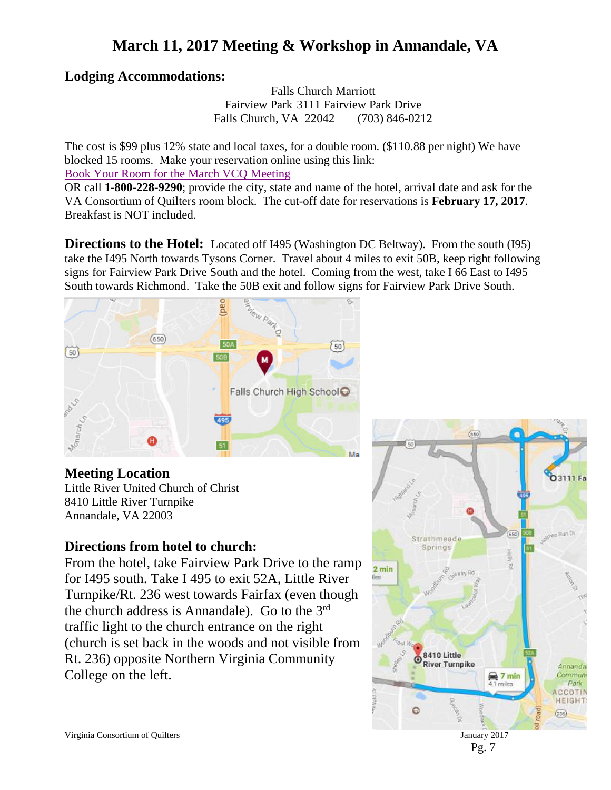# **March 11, 2017 Meeting & Workshop in Annandale, VA**

# **Lodging Accommodations:**

Falls Church Marriott Fairview Park 3111 Fairview Park Drive Falls Church, VA 22042 (703) 846-0212

The cost is \$99 plus 12% state and local taxes, for a double room. (\$110.88 per night) We have blocked 15 rooms. Make your reservation online using this link:

[Book Your Room for the March VCQ Meeting](http://www.marriott.com/meeting-event-hotels/group-corporate-travel/groupCorp.mi?resLinkData=VA%20Consortium%20of%20Quilters%5Ewasfp%60VCQVCQA%6099.00%60USD%60false%604%603/10/17%603/12/17%6002/17/2017&app=resvlink&stop_mobi=yes)

OR call **1-800-228-9290**; provide the city, state and name of the hotel, arrival date and ask for the VA Consortium of Quilters room block. The cut-off date for reservations is **February 17, 2017**. Breakfast is NOT included.

**Directions to the Hotel:** Located off I495 (Washington DC Beltway). From the south (I95) take the I495 North towards Tysons Corner. Travel about 4 miles to exit 50B, keep right following signs for Fairview Park Drive South and the hotel. Coming from the west, take I 66 East to I495 South towards Richmond. Take the 50B exit and follow signs for Fairview Park Drive South.



## **Meeting Location**

Little River United Church of Christ 8410 Little River Turnpike Annandale, VA 22003

## **Directions from hotel to church:**

From the hotel, take Fairview Park Drive to the ramp for I495 south. Take I 495 to exit 52A, Little River Turnpike/Rt. 236 west towards Fairfax (even though the church address is Annandale). Go to the 3rd traffic light to the church entrance on the right (church is set back in the woods and not visible from Rt. 236) opposite Northern Virginia Community College on the left.



Pg. 7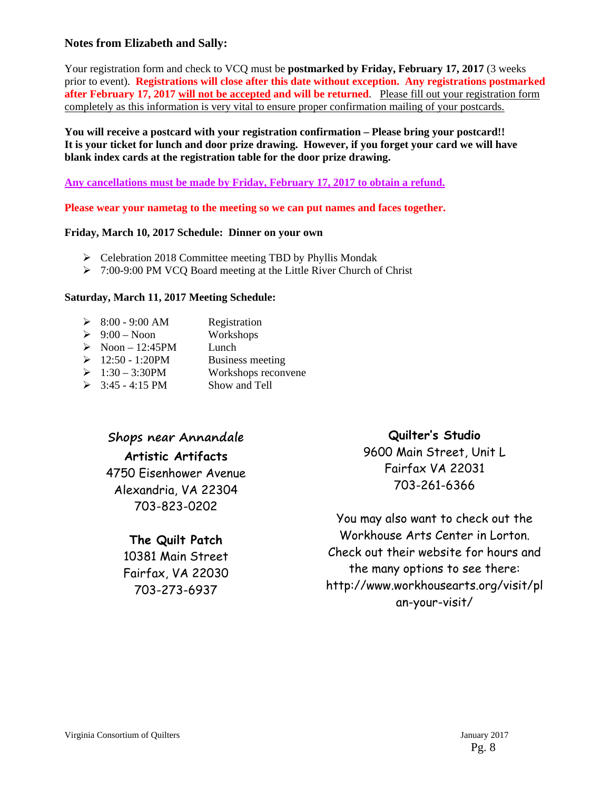#### **Notes from Elizabeth and Sally:**

Your registration form and check to VCQ must be **postmarked by Friday, February 17, 2017** (3 weeks prior to event). **Registrations will close after this date without exception. Any registrations postmarked after February 17, 2017 will not be accepted and will be returned.** Please fill out your registration form completely as this information is very vital to ensure proper confirmation mailing of your postcards.

**You will receive a postcard with your registration confirmation – Please bring your postcard!! It is your ticket for lunch and door prize drawing. However, if you forget your card we will have blank index cards at the registration table for the door prize drawing.** 

**Any cancellations must be made by Friday, February 17, 2017 to obtain a refund.** 

**Please wear your nametag to the meeting so we can put names and faces together.** 

#### **Friday, March 10, 2017 Schedule: Dinner on your own**

- $\triangleright$  Celebration 2018 Committee meeting TBD by Phyllis Mondak
- ▶ 7:00-9:00 PM VCQ Board meeting at the Little River Church of Christ

#### **Saturday, March 11, 2017 Meeting Schedule:**

| $\triangleright$ 8:00 - 9:00 AM | Registration            |
|---------------------------------|-------------------------|
| $\geq 9:00$ – Noon              | Workshops               |
| $\triangleright$ Noon – 12:45PM | Lunch                   |
| $\geq 12:50 - 1:20PM$           | <b>Business meeting</b> |
| $▶ 1:30 - 3:30PM$               | Workshops reconvene     |
| $\geq$ 3:45 - 4:15 PM           | Show and Tell           |

## **Shops near Annandale**

**Artistic Artifacts**  4750 Eisenhower Avenue Alexandria, VA 22304 703-823-0202

## **The Quilt Patch**

10381 Main Street Fairfax, VA 22030 703-273-6937

## **Quilter's Studio**

9600 Main Street, Unit L Fairfax VA 22031 703-261-6366

You may also want to check out the Workhouse Arts Center in Lorton. Check out their website for hours and the many options to see there: [http://www.workhousearts.org/visit/pl](http://www.workhousearts.org/visit/plan-your-visit/) an-your-visit/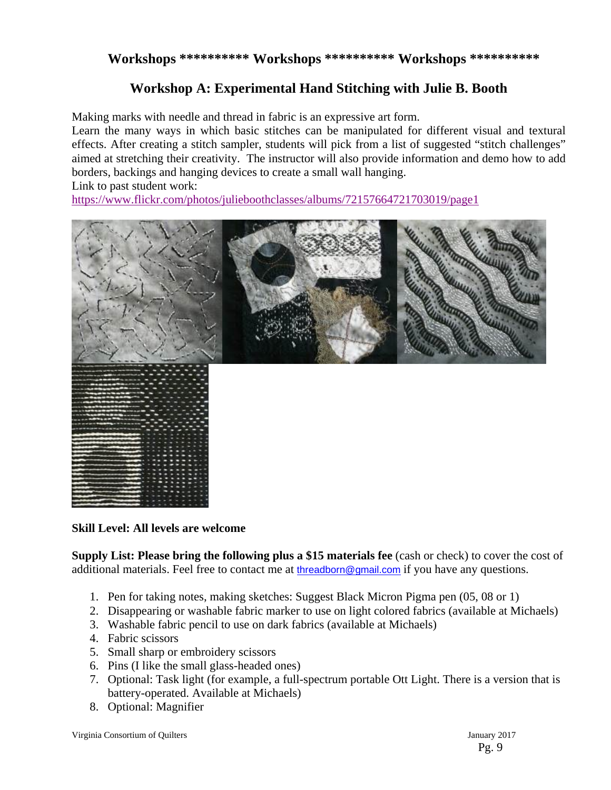## **Workshops \*\*\*\*\*\*\*\*\*\* Workshops \*\*\*\*\*\*\*\*\*\* Workshops \*\*\*\*\*\*\*\*\*\***

## **Workshop A: Experimental Hand Stitching with Julie B. Booth**

Making marks with needle and thread in fabric is an expressive art form.

Learn the many ways in which basic stitches can be manipulated for different visual and textural effects. After creating a stitch sampler, students will pick from a list of suggested "stitch challenges" aimed at stretching their creativity. The instructor will also provide information and demo how to add borders, backings and hanging devices to create a small wall hanging.

Link to past student work:

<https://www.flickr.com/photos/julieboothclasses/albums/72157664721703019/page1>



#### **Skill Level: All levels are welcome**

**Supply List: Please bring the following plus a \$15 materials fee** (cash or check) to cover the cost of additional materials. Feel free to contact me at [threadborn@gmail.com](mailto:threadborn@gmail.com) if you have any questions.

- 1. Pen for taking notes, making sketches: Suggest Black Micron Pigma pen (05, 08 or 1)
- 2. Disappearing or washable fabric marker to use on light colored fabrics (available at Michaels)
- 3. Washable fabric pencil to use on dark fabrics (available at Michaels)
- 4. Fabric scissors
- 5. Small sharp or embroidery scissors
- 6. Pins (I like the small glass-headed ones)
- 7. Optional: Task light (for example, a full-spectrum portable Ott Light. There is a version that is battery-operated. Available at Michaels)
- 8. Optional: Magnifier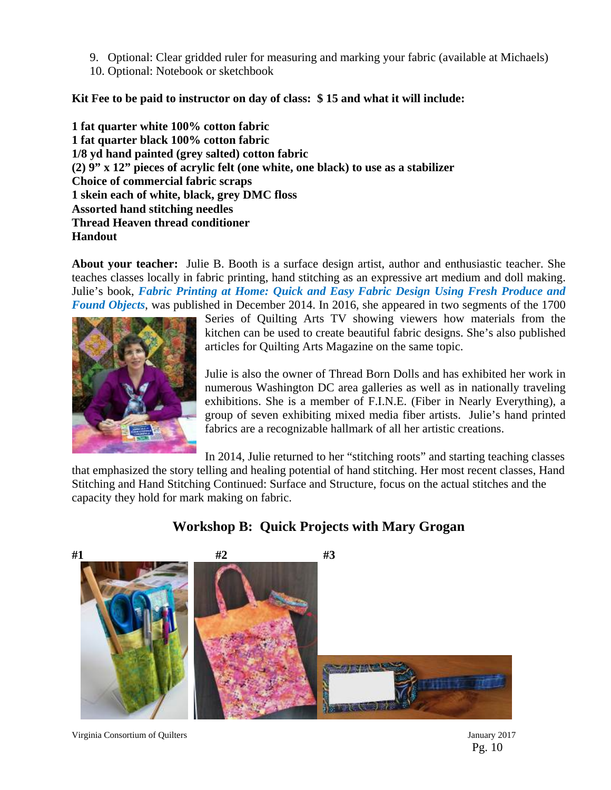- 9. Optional: Clear gridded ruler for measuring and marking your fabric (available at Michaels)
- 10. Optional: Notebook or sketchbook

**Kit Fee to be paid to instructor on day of class: \$ 15 and what it will include:** 

**1 fat quarter white 100% cotton fabric 1 fat quarter black 100% cotton fabric 1/8 yd hand painted (grey salted) cotton fabric (2) 9" x 12" pieces of acrylic felt (one white, one black) to use as a stabilizer Choice of commercial fabric scraps 1 skein each of white, black, grey DMC floss Assorted hand stitching needles Thread Heaven thread conditioner Handout** 

**About your teacher:** Julie B. Booth is a surface design artist, author and enthusiastic teacher. She teaches classes locally in fabric printing, hand stitching as an expressive art medium and doll making. Julie's book, *Fabric Printing at Home: Quick and Easy Fabric Design Using Fresh Produce and Found Objects*, was published in December 2014. In 2016, she appeared in two segments of the 1700



Series of Quilting Arts TV showing viewers how materials from the kitchen can be used to create beautiful fabric designs. She's also published articles for Quilting Arts Magazine on the same topic.

Julie is also the owner of Thread Born Dolls and has exhibited her work in numerous Washington DC area galleries as well as in nationally traveling exhibitions. She is a member of F.I.N.E. (Fiber in Nearly Everything), a group of seven exhibiting mixed media fiber artists. Julie's hand printed fabrics are a recognizable hallmark of all her artistic creations.

In 2014, Julie returned to her "stitching roots" and starting teaching classes

that emphasized the story telling and healing potential of hand stitching. Her most recent classes, Hand Stitching and Hand Stitching Continued: Surface and Structure, focus on the actual stitches and the capacity they hold for mark making on fabric.

# **Workshop B: Quick Projects with Mary Grogan**

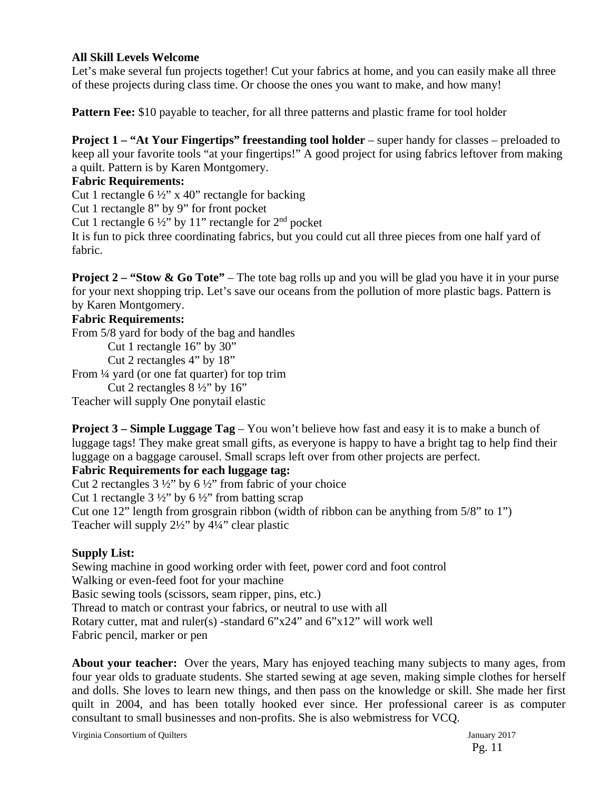#### **All Skill Levels Welcome**

Let's make several fun projects together! Cut your fabrics at home, and you can easily make all three of these projects during class time. Or choose the ones you want to make, and how many!

**Pattern Fee:** \$10 payable to teacher, for all three patterns and plastic frame for tool holder

**Project 1 – "At Your Fingertips" freestanding tool holder** – super handy for classes – preloaded to keep all your favorite tools "at your fingertips!" A good project for using fabrics leftover from making a quilt. Pattern is by Karen Montgomery.

### **Fabric Requirements:**

Cut 1 rectangle  $6\frac{1}{2}$ " x 40" rectangle for backing

Cut 1 rectangle 8" by 9" for front pocket

Cut 1 rectangle 6  $\frac{1}{2}$ " by 11" rectangle for  $2<sup>nd</sup>$  pocket

It is fun to pick three coordinating fabrics, but you could cut all three pieces from one half yard of fabric.

**Project 2 – "Stow & Go Tote"** – The tote bag rolls up and you will be glad you have it in your purse for your next shopping trip. Let's save our oceans from the pollution of more plastic bags. Pattern is by Karen Montgomery.

#### **Fabric Requirements:**

From 5/8 yard for body of the bag and handles

Cut 1 rectangle 16" by 30"

Cut 2 rectangles 4" by 18"

From ¼ yard (or one fat quarter) for top trim

Cut 2 rectangles  $8\frac{1}{2}$ " by  $16$ "

Teacher will supply One ponytail elastic

**Project 3 – Simple Luggage Tag** – You won't believe how fast and easy it is to make a bunch of luggage tags! They make great small gifts, as everyone is happy to have a bright tag to help find their luggage on a baggage carousel. Small scraps left over from other projects are perfect.

#### **Fabric Requirements for each luggage tag:**

Cut 2 rectangles  $3\frac{1}{2}$ " by  $6\frac{1}{2}$ " from fabric of your choice Cut 1 rectangle  $3\frac{1}{2}$ " by  $6\frac{1}{2}$ " from batting scrap Cut one 12" length from grosgrain ribbon (width of ribbon can be anything from 5/8" to 1") Teacher will supply 2½" by 4¼" clear plastic

## **Supply List:**

Sewing machine in good working order with feet, power cord and foot control Walking or even-feed foot for your machine Basic sewing tools (scissors, seam ripper, pins, etc.) Thread to match or contrast your fabrics, or neutral to use with all Rotary cutter, mat and ruler(s) -standard 6"x24" and 6"x12" will work well Fabric pencil, marker or pen

**About your teacher:** Over the years, Mary has enjoyed teaching many subjects to many ages, from four year olds to graduate students. She started sewing at age seven, making simple clothes for herself and dolls. She loves to learn new things, and then pass on the knowledge or skill. She made her first quilt in 2004, and has been totally hooked ever since. Her professional career is as computer consultant to small businesses and non-profits. She is also webmistress for VCQ.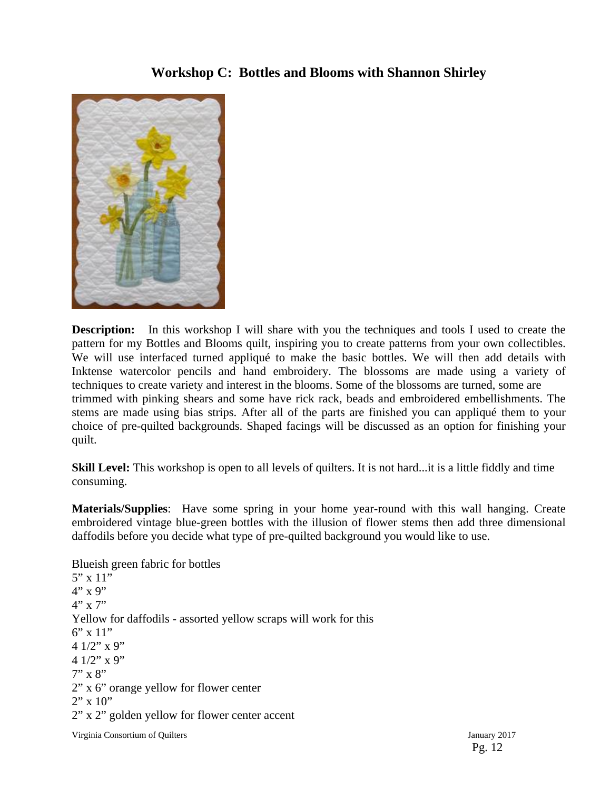## **Workshop C: Bottles and Blooms with Shannon Shirley**



**Description:** In this workshop I will share with you the techniques and tools I used to create the pattern for my Bottles and Blooms quilt, inspiring you to create patterns from your own collectibles. We will use interfaced turned appliqué to make the basic bottles. We will then add details with Inktense watercolor pencils and hand embroidery. The blossoms are made using a variety of techniques to create variety and interest in the blooms. Some of the blossoms are turned, some are trimmed with pinking shears and some have rick rack, beads and embroidered embellishments. The stems are made using bias strips. After all of the parts are finished you can appliqué them to your choice of pre-quilted backgrounds. Shaped facings will be discussed as an option for finishing your quilt.

**Skill Level:** This workshop is open to all levels of quilters. It is not hard...it is a little fiddly and time consuming.

**Materials/Supplies**: Have some spring in your home year-round with this wall hanging. Create embroidered vintage blue-green bottles with the illusion of flower stems then add three dimensional daffodils before you decide what type of pre-quilted background you would like to use.

Blueish green fabric for bottles  $5" \times 11"$  $4"$  x 9"  $4"$  x 7" Yellow for daffodils - assorted yellow scraps will work for this 6" x 11" 4 1/2" x 9" 4  $1/2$ " x 9"  $7" \times 8"$ 2" x 6" orange yellow for flower center  $2" \times 10"$ 2" x 2" golden yellow for flower center accent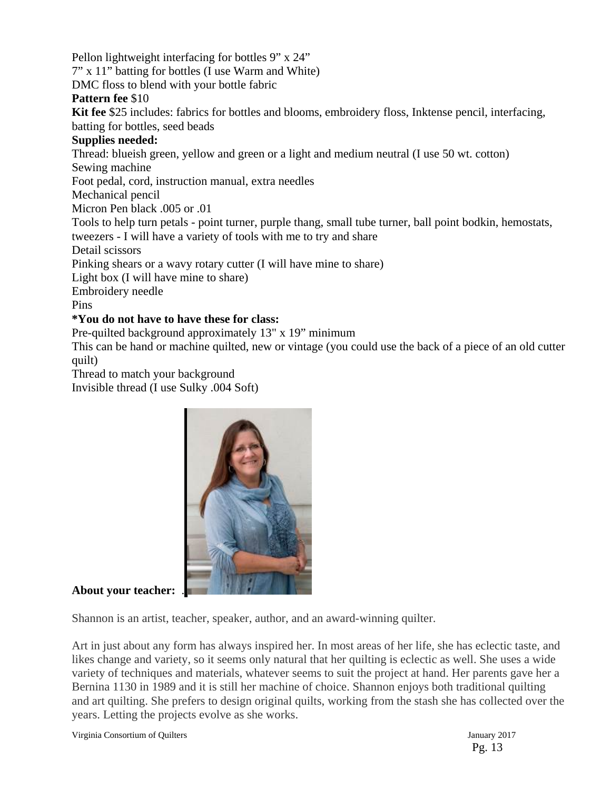Pellon lightweight interfacing for bottles 9" x 24" 7" x 11" batting for bottles (I use Warm and White) DMC floss to blend with your bottle fabric **Pattern fee** \$10 **Kit fee** \$25 includes: fabrics for bottles and blooms, embroidery floss, Inktense pencil, interfacing, batting for bottles, seed beads **Supplies needed:**  Thread: blueish green, yellow and green or a light and medium neutral (I use 50 wt. cotton) Sewing machine Foot pedal, cord, instruction manual, extra needles Mechanical pencil Micron Pen black .005 or .01 Tools to help turn petals - point turner, purple thang, small tube turner, ball point bodkin, hemostats, tweezers - I will have a variety of tools with me to try and share Detail scissors Pinking shears or a wavy rotary cutter (I will have mine to share) Light box (I will have mine to share) Embroidery needle Pins **\*You do not have to have these for class:**  Pre-quilted background approximately 13" x 19" minimum

This can be hand or machine quilted, new or vintage (you could use the back of a piece of an old cutter quilt)

Thread to match your background

Invisible thread (I use Sulky .004 Soft)



## **About your teacher:** .

Shannon is an artist, teacher, speaker, author, and an award-winning quilter.

Art in just about any form has always inspired her. In most areas of her life, she has eclectic taste, and likes change and variety, so it seems only natural that her quilting is eclectic as well. She uses a wide variety of techniques and materials, whatever seems to suit the project at hand. Her parents gave her a Bernina 1130 in 1989 and it is still her machine of choice. Shannon enjoys both traditional quilting and art quilting. She prefers to design original quilts, working from the stash she has collected over the years. Letting the projects evolve as she works.

Virginia Consortium of Quilters January 2017

Pg. 13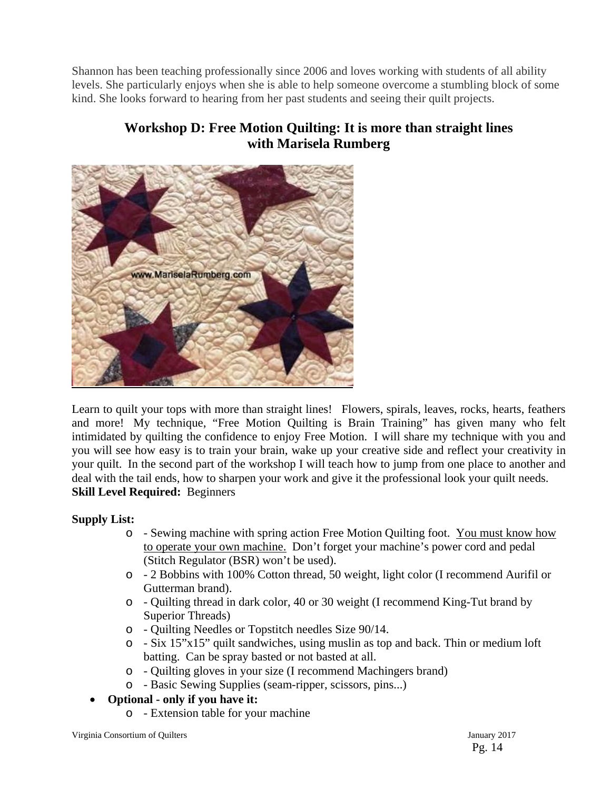Shannon has been teaching professionally since 2006 and loves working with students of all ability levels. She particularly enjoys when she is able to help someone overcome a stumbling block of some kind. She looks forward to hearing from her past students and seeing their quilt projects.

# **Workshop D: Free Motion Quilting: It is more than straight lines with Marisela Rumberg**



Learn to quilt your tops with more than straight lines! Flowers, spirals, leaves, rocks, hearts, feathers and more! My technique, "Free Motion Quilting is Brain Training" has given many who felt intimidated by quilting the confidence to enjoy Free Motion. I will share my technique with you and you will see how easy is to train your brain, wake up your creative side and reflect your creativity in your quilt. In the second part of the workshop I will teach how to jump from one place to another and deal with the tail ends, how to sharpen your work and give it the professional look your quilt needs. **Skill Level Required:** Beginners

## **Supply List:**

- o Sewing machine with spring action Free Motion Quilting foot. You must know how to operate your own machine. Don't forget your machine's power cord and pedal (Stitch Regulator (BSR) won't be used).
- o 2 Bobbins with 100% Cotton thread, 50 weight, light color (I recommend Aurifil or Gutterman brand).
- o Quilting thread in dark color, 40 or 30 weight (I recommend King-Tut brand by Superior Threads)
- o Quilting Needles or Topstitch needles Size 90/14.
- o Six 15"x15" quilt sandwiches, using muslin as top and back. Thin or medium loft batting. Can be spray basted or not basted at all.
- o Quilting gloves in your size (I recommend Machingers brand)
- o Basic Sewing Supplies (seam-ripper, scissors, pins...)
- **Optional only if you have it:**
	- o Extension table for your machine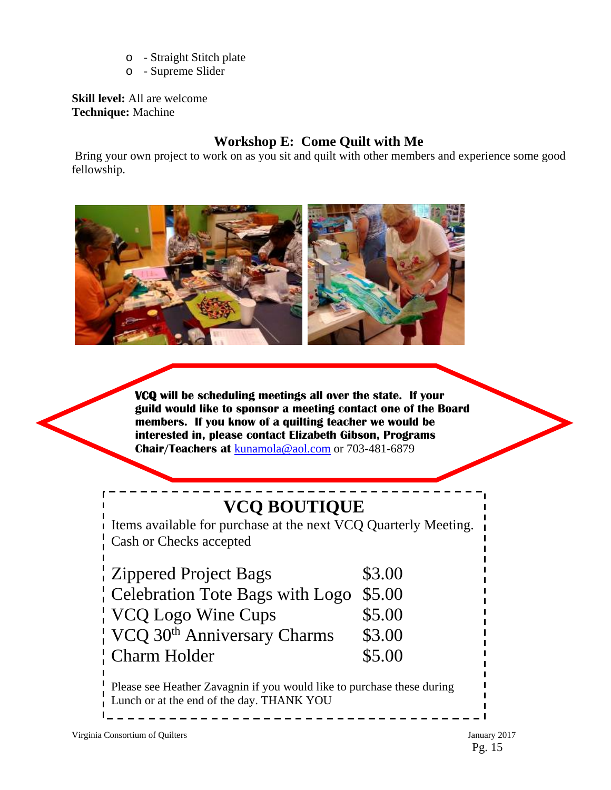- o Straight Stitch plate
- o Supreme Slider

**Skill level:** All are welcome **Technique:** Machine

# **Workshop E: Come Quilt with Me**

 Bring your own project to work on as you sit and quilt with other members and experience some good fellowship.



**VCQ will be scheduling meetings all over the state. If your guild would like to sponsor a meeting contact one of the Board members. If you know of a quilting teacher we would be interested in, please contact Elizabeth Gibson, Programs Chair/Teachers at** [kunamola@aol.com](mailto:kunamola@aol.com) or 703-481-6879

# **VCQ BOUTIQUE**

Items available for purchase at the next VCQ Quarterly Meeting. Cash or Checks accepted

| <b>Zippered Project Bags</b>            | \$3.00 |
|-----------------------------------------|--------|
| Celebration Tote Bags with Logo         | \$5.00 |
| VCQ Logo Wine Cups                      | \$5.00 |
| VCQ 30 <sup>th</sup> Anniversary Charms | \$3.00 |
| <b>Charm Holder</b>                     | \$5.00 |

Please see Heather Zavagnin if you would like to purchase these during Lunch or at the end of the day. THANK YOU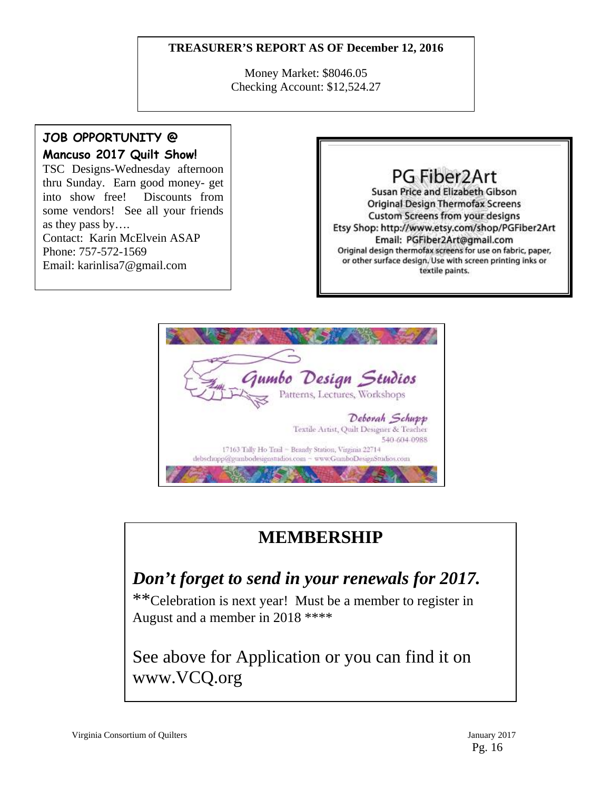## **TREASURER'S REPORT AS OF December 12, 2016**

Money Market: \$8046.05 Checking Account: \$12,524.27

## **JOB OPPORTUNITY @ Mancuso 2017 Quilt Show!**

TSC Designs-Wednesday afternoon thru Sunday. Earn good money- get into show free! Discounts from some vendors! See all your friends as they pass by…. Contact: Karin McElvein ASAP Phone: 757-572-1569 Email: karinlisa7@gmail.com

# PG Fiber2Art

Susan Price and Elizabeth Gibson **Original Design Thermofax Screens** Custom Screens from your designs Etsy Shop: http://www.etsy.com/shop/PGFiber2Art Email: PGFiber2Art@gmail.com Original design thermofax screens for use on fabric, paper, or other surface design. Use with screen printing inks or textile paints.



# **MEMBERSHIP**

# *Don't forget to send in your renewals for 2017.*

\*\*Celebration is next year! Must be a member to register in August and a member in 2018 \*\*\*\*

See above for Application or you can find it on www.VCQ.org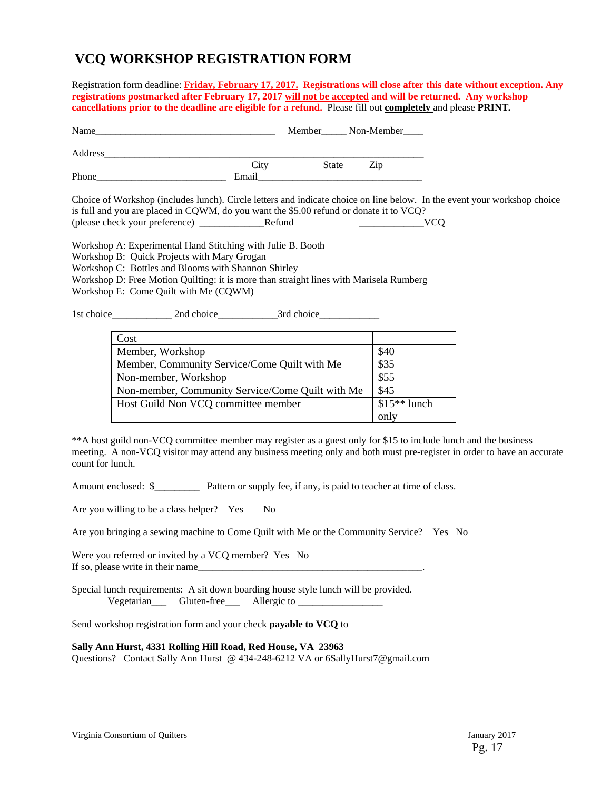# **VCQ WORKSHOP REGISTRATION FORM**

Registration form deadline: **Friday, February 17, 2017.****Registrations will close after this date without exception. Any registrations postmarked after February 17, 2017 will not be accepted and will be returned. Any workshop cancellations prior to the deadline are eligible for a refund.** Please fill out **completely** and please **PRINT***.* 

| Name    |       |              | Member______ Non-Member____ |
|---------|-------|--------------|-----------------------------|
| Address |       |              |                             |
|         | City  | <b>State</b> | Zip                         |
| Phone   | Email |              |                             |

Choice of Workshop (includes lunch). Circle letters and indicate choice on line below. In the event your workshop choice is full and you are placed in CQWM, do you want the \$5.00 refund or donate it to VCQ? (please check your preference) \_\_\_\_\_\_\_\_\_\_\_\_\_Refund \_\_\_\_\_\_\_\_\_\_\_\_\_VCQ

Workshop A: Experimental Hand Stitching with Julie B. Booth

Workshop B: Quick Projects with Mary Grogan

Workshop C: Bottles and Blooms with Shannon Shirley

Workshop D: Free Motion Quilting: it is more than straight lines with Marisela Rumberg

Workshop E: Come Quilt with Me (CQWM)

1st choice 2nd choice 3rd choice

| Cost                                             |               |
|--------------------------------------------------|---------------|
| Member, Workshop                                 | \$40          |
| Member, Community Service/Come Quilt with Me     | \$35          |
| Non-member, Workshop                             | \$55          |
| Non-member, Community Service/Come Quilt with Me | \$45          |
| Host Guild Non VCQ committee member              | $$15**$ lunch |
|                                                  | only          |

\*\*A host guild non-VCQ committee member may register as a guest only for \$15 to include lunch and the business meeting. A non-VCQ visitor may attend any business meeting only and both must pre-register in order to have an accurate count for lunch.

Amount enclosed:  $\frac{1}{2}$  Pattern or supply fee, if any, is paid to teacher at time of class.

Are you willing to be a class helper? Yes No

Are you bringing a sewing machine to Come Quilt with Me or the Community Service? Yes No

Were you referred or invited by a VCQ member? Yes No If so, please write in their name

Special lunch requirements: A sit down boarding house style lunch will be provided. Vegetarian Gluten-free Allergic to

Send workshop registration form and your check **payable to VCQ** to

#### **Sally Ann Hurst, 4331 Rolling Hill Road, Red House, VA 23963**

Questions? Contact Sally Ann Hurst @ 434-248-6212 VA or 6SallyHurst7@gmail.com